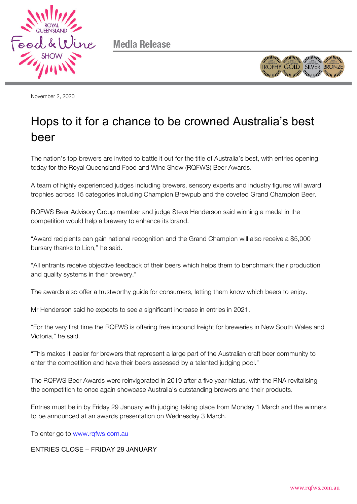

**Media Release** 



November 2, 2020

## Hops to it for a chance to be crowned Australia's best beer

The nation's top brewers are invited to battle it out for the title of Australia's best, with entries opening today for the Royal Queensland Food and Wine Show (RQFWS) Beer Awards.

A team of highly experienced judges including brewers, sensory experts and industry figures will award trophies across 15 categories including Champion Brewpub and the coveted Grand Champion Beer.

RQFWS Beer Advisory Group member and judge Steve Henderson said winning a medal in the competition would help a brewery to enhance its brand.

"Award recipients can gain national recognition and the Grand Champion will also receive a \$5,000 bursary thanks to Lion," he said.

"All entrants receive objective feedback of their beers which helps them to benchmark their production and quality systems in their brewery."

The awards also offer a trustworthy guide for consumers, letting them know which beers to enjoy.

Mr Henderson said he expects to see a significant increase in entries in 2021.

"For the very first time the RQFWS is offering free inbound freight for breweries in New South Wales and Victoria," he said.

"This makes it easier for brewers that represent a large part of the Australian craft beer community to enter the competition and have their beers assessed by a talented judging pool."

The RQFWS Beer Awards were reinvigorated in 2019 after a five year hiatus, with the RNA revitalising the competition to once again showcase Australia's outstanding brewers and their products.

Entries must be in by Friday 29 January with judging taking place from Monday 1 March and the winners to be announced at an awards presentation on Wednesday 3 March.

To enter go to www.rqfws.com.au

ENTRIES CLOSE – FRIDAY 29 JANUARY